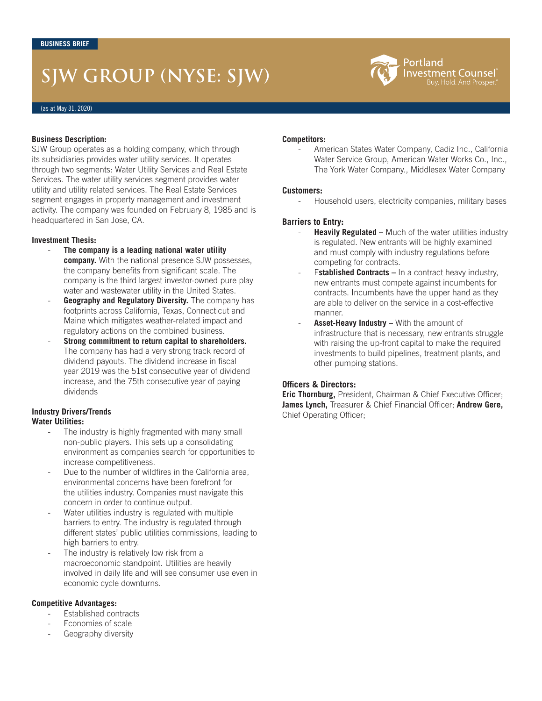# **SJW GROUP (NYSE: SJW)**

#### **Business Description:**

SJW Group operates as a holding company, which through its subsidiaries provides water utility services. It operates through two segments: Water Utility Services and Real Estate Services. The water utility services segment provides water utility and utility related services. The Real Estate Services segment engages in property management and investment activity. The company was founded on February 8, 1985 and is headquartered in San Jose, CA.

#### **Investment Thesis:**

- **The company is a leading national water utility company.** With the national presence SJW possesses, the company benefits from significant scale. The company is the third largest investor-owned pure play water and wastewater utility in the United States.
- Geography and Regulatory Diversity. The company has footprints across California, Texas, Connecticut and Maine which mitigates weather-related impact and regulatory actions on the combined business.
- **Strong commitment to return capital to shareholders.**  The company has had a very strong track record of dividend payouts. The dividend increase in fiscal year 2019 was the 51st consecutive year of dividend increase, and the 75th consecutive year of paying dividends

### **Industry Drivers/Trends**

#### **Water Utilities:**

- The industry is highly fragmented with many small non-public players. This sets up a consolidating environment as companies search for opportunities to increase competitiveness.
- Due to the number of wildfires in the California area, environmental concerns have been forefront for the utilities industry. Companies must navigate this concern in order to continue output.
- Water utilities industry is regulated with multiple barriers to entry. The industry is regulated through different states' public utilities commissions, leading to high barriers to entry.
- The industry is relatively low risk from a macroeconomic standpoint. Utilities are heavily involved in daily life and will see consumer use even in economic cycle downturns.

#### **Competitive Advantages:**

- Established contracts
- Economies of scale
- Geography diversity

#### **Competitors:**

American States Water Company, Cadiz Inc., California Water Service Group, American Water Works Co., Inc., The York Water Company., Middlesex Water Company

Portland

Investment Counsel Buy. Hold. And Prosper.

#### **Customers:**

- Household users, electricity companies, military bases

#### **Barriers to Entry:**

- **Heavily Regulated –** Much of the water utilities industry is regulated. New entrants will be highly examined and must comply with industry regulations before competing for contracts.
- Established Contracts In a contract heavy industry, new entrants must compete against incumbents for contracts. Incumbents have the upper hand as they are able to deliver on the service in a cost-effective manner.
- Asset-Heavy Industry With the amount of infrastructure that is necessary, new entrants struggle with raising the up-front capital to make the required investments to build pipelines, treatment plants, and other pumping stations.

#### **Officers & Directors:**

**Eric Thornburg,** President, Chairman & Chief Executive Officer; **James Lynch,** Treasurer & Chief Financial Officer; **Andrew Gere,**  Chief Operating Officer;